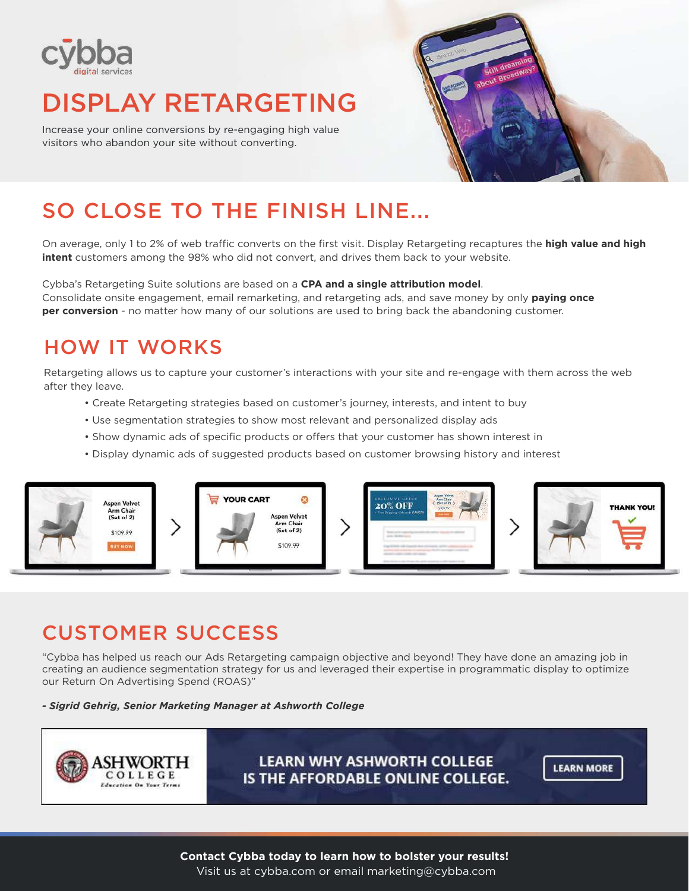

# DISPLAY RETARGETING

Increase your online conversions by re-engaging high value visitors who abandon your site without converting.



# SO CLOSE TO THE FINISH LINE...

On average, only 1 to 2% of web traffic converts on the first visit. Display Retargeting recaptures the **high value and high intent** customers among the 98% who did not convert, and drives them back to your website.

Cybba's Retargeting Suite solutions are based on a **CPA and a single attribution model**. Consolidate onsite engagement, email remarketing, and retargeting ads, and save money by only **paying once per conversion** - no matter how many of our solutions are used to bring back the abandoning customer.

## HOW IT WORKS

Retargeting allows us to capture your customer's interactions with your site and re-engage with them across the web after they leave.

- Create Retargeting strategies based on customer's journey, interests, and intent to buy
- Use segmentation strategies to show most relevant and personalized display ads
- Show dynamic ads of specific products or offers that your customer has shown interest in
- Display dynamic ads of suggested products based on customer browsing history and interest



### CUSTOMER SUCCESS

"Cybba has helped us reach our Ads Retargeting campaign objective and beyond! They have done an amazing job in creating an audience segmentation strategy for us and leveraged their expertise in programmatic display to optimize our Return On Advertising Spend (ROAS)"

*- Sigrid Gehrig, Senior Marketing Manager at Ashworth College*